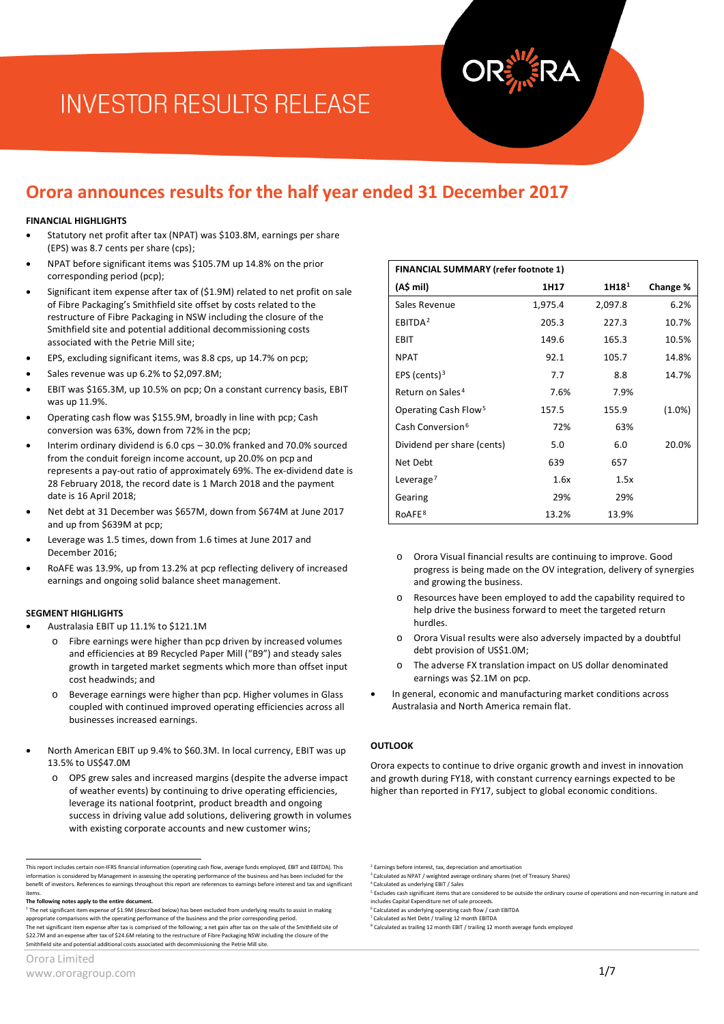# **INVESTOR RESULTS RELEASE**

### **Orora announces results for the half year ended 31 December 2017**

#### **FINANCIAL HIGHLIGHTS**

- Statutory net profit after tax (NPAT) was \$103.8M, earnings per share (EPS) was 8.7 cents per share (cps);
- NPAT before significant items was \$105.7M up 14.8% on the prior corresponding period (pcp);
- Significant item expense after tax of (\$1.9M) related to net profit on sale of Fibre Packaging's Smithfield site offset by costs related to the restructure of Fibre Packaging in NSW including the closure of the Smithfield site and potential additional decommissioning costs associated with the Petrie Mill site;
- EPS, excluding significant items, was 8.8 cps, up 14.7% on pcp;
- Sales revenue was up 6.2% to \$2,097.8M;
- EBIT was \$165.3M, up 10.5% on pcp; On a constant currency basis, EBIT was up 11.9%
- Operating cash flow was \$155.9M, broadly in line with pcp; Cash conversion was 63%, down from 72% in the pcp;
- Interim ordinary dividend is 6.0 cps 30.0% franked and 70.0% sourced from the conduit foreign income account, up 20.0% on pcp and represents a pay-out ratio of approximately 69%. The ex-dividend date is 28 February 2018, the record date is 1 March 2018 and the payment date is 16 April 2018;
- Net debt at 31 December was \$657M, down from \$674M at June 2017 and up from \$639M at pcp;
- Leverage was 1.5 times, down from 1.6 times at June 2017 and December 2016;
- RoAFE was 13.9%, up from 13.2% at pcp reflecting delivery of increased earnings and ongoing solid balance sheet management.

#### **SEGMENT HIGHLIGHTS**

- Australasia EBIT up 11.1% to \$121.1M
	- o Fibre earnings were higher than pcp driven by increased volumes and efficiencies at B9 Recycled Paper Mill ("B9") and steady sales growth in targeted market segments which more than offset input cost headwinds; and
	- o Beverage earnings were higher than pcp. Higher volumes in Glass coupled with continued improved operating efficiencies across all businesses increased earnings.
- North American EBIT up 9.4% to \$60.3M. In local currency, EBIT was up 13.5% to US\$47.0M
	- o OPS grew sales and increased margins (despite the adverse impact of weather events) by continuing to drive operating efficiencies, leverage its national footprint, product breadth and ongoing success in driving value add solutions, delivering growth in volumes with existing corporate accounts and new customer wins;

| <b>FINANCIAL SUMMARY (refer footnote 1)</b> |         |                   |          |
|---------------------------------------------|---------|-------------------|----------|
| (A\$ mil)                                   | 1H17    | 1H18 <sup>1</sup> | Change % |
| Sales Revenue                               | 1,975.4 | 2,097.8           | 6.2%     |
| EBITDA <sup>2</sup>                         | 205.3   | 227.3             | 10.7%    |
| EBIT                                        | 149.6   | 165.3             | 10.5%    |
| <b>NPAT</b>                                 | 92.1    | 105.7             | 14.8%    |
| EPS (cents) $3$                             | 7.7     | 8.8               | 14.7%    |
| Return on Sales <sup>4</sup>                | 7.6%    | 7.9%              |          |
| Operating Cash Flow <sup>5</sup>            | 157.5   | 155.9             | (1.0%)   |
| Cash Conversion <sup>6</sup>                | 72%     | 63%               |          |
| Dividend per share (cents)                  | 5.0     | 6.0               | 20.0%    |
| Net Debt                                    | 639     | 657               |          |
| Leverage <sup>7</sup>                       | 1.6x    | 1.5x              |          |
| Gearing                                     | 29%     | 29%               |          |
| RoAFE <sup>8</sup>                          | 13.2%   | 13.9%             |          |

- o Orora Visual financial results are continuing to improve. Good progress is being made on the OV integration, delivery of synergies and growing the business.
- o Resources have been employed to add the capability required to help drive the business forward to meet the targeted return hurdles.
- Orora Visual results were also adversely impacted by a doubtful debt provision of US\$1.0M;
- The adverse FX translation impact on US dollar denominated earnings was \$2.1M on pcp.
- In general, economic and manufacturing market conditions across Australasia and North America remain flat.

#### **OUTLOOK**

Orora expects to continue to drive organic growth and invest in innovation and growth during FY18, with constant currency earnings expected to be higher than reported in FY17, subject to global economic conditions.

Earnings before interest, tax, depreciation and amortisation

<sup>6</sup> Calculated as underlying operating cash flow / cash EBITDA

<sup>7</sup> Calculated as Net Debt / trailing 12 month EBITDA

<span id="page-0-1"></span><span id="page-0-0"></span>This report includes certain non-IFRS financial information (operating cash flow, average funds employed, EBIT and EBITDA). This information is considered by Management in assessing the operating performance of the business and has been included for the<br>benefit of investors. References to earnings throughout this report are references to earnings be items.

<span id="page-0-3"></span><span id="page-0-2"></span>**The following notes apply to the entire document.**

<span id="page-0-6"></span><span id="page-0-5"></span><span id="page-0-4"></span><sup>1</sup> The net significant item expense of \$1.9M (described below) has been excluded from underlying results to assist in making appropriate comparisons with the operating performance of the business and the prior corresponding period. The net significant item expense after tax is comprised of the following; a net gain after tax on the sale of the Smithfield site of \$22.7M and an expense after tax of \$24.6M relating to the restructure of Fibre Packaging NSW including the closure of the Smithfield site and potential additional costs associated with decommissioning the Petrie Mill site.

<sup>&</sup>lt;sup>3</sup> Calculated as NPAT / weighted average ordinary shares (net of Treasury Shares) <sup>4</sup> Calculated as underlying EBIT / Sales

<sup>&</sup>lt;sup>5</sup> Excludes cash significant items that are considered to be outside the ordinary course of operations and non-recurring in nature and includes Capital Expenditure net of sale proceeds.

<sup>8</sup> Calculated as trailing 12 month EBIT / trailing 12 month average funds employed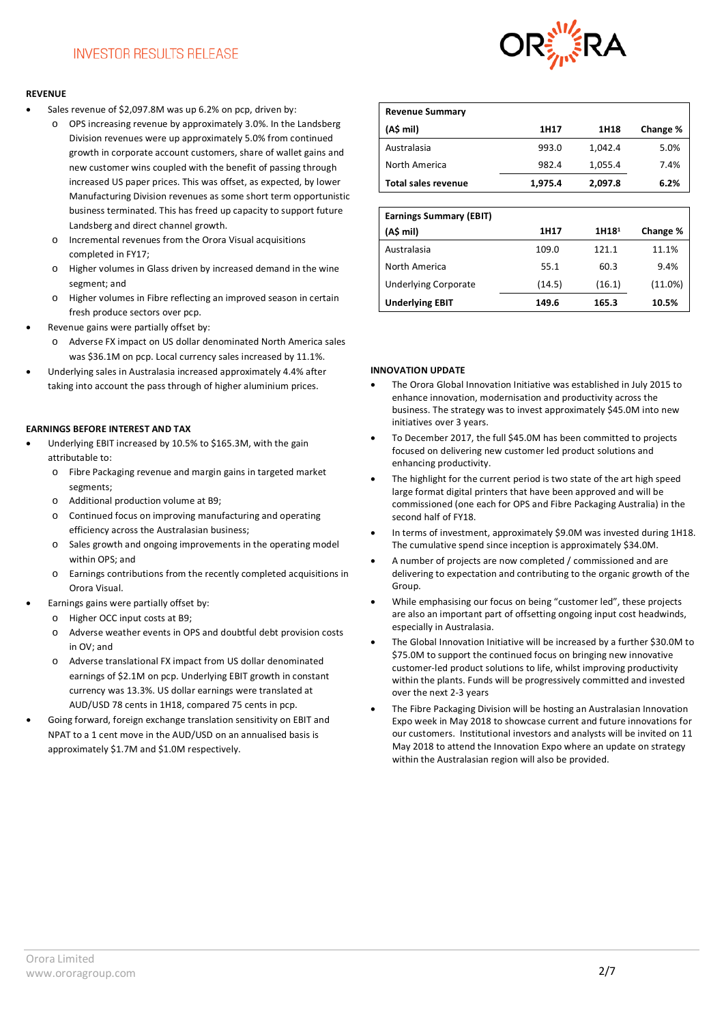#### **REVENUE**

- Sales revenue of \$2,097.8M was up 6.2% on pcp, driven by:
	- o OPS increasing revenue by approximately 3.0%. In the Landsberg Division revenues were up approximately 5.0% from continued growth in corporate account customers, share of wallet gains and new customer wins coupled with the benefit of passing through increased US paper prices. This was offset, as expected, by lower Manufacturing Division revenues as some short term opportunistic business terminated. This has freed up capacity to support future Landsberg and direct channel growth.
	- o Incremental revenues from the Orora Visual acquisitions completed in FY17;
	- o Higher volumes in Glass driven by increased demand in the wine segment; and
	- o Higher volumes in Fibre reflecting an improved season in certain fresh produce sectors over pcp.
- Revenue gains were partially offset by:
	- o Adverse FX impact on US dollar denominated North America sales was \$36.1M on pcp. Local currency sales increased by 11.1%.
- Underlying sales in Australasia increased approximately 4.4% after taking into account the pass through of higher aluminium prices.

#### **EARNINGS BEFORE INTEREST AND TAX**

- Underlying EBIT increased by 10.5% to \$165.3M, with the gain attributable to:
	- o Fibre Packaging revenue and margin gains in targeted market segments;
	- o Additional production volume at B9;
	- o Continued focus on improving manufacturing and operating efficiency across the Australasian business;
	- o Sales growth and ongoing improvements in the operating model within OPS; and
	- o Earnings contributions from the recently completed acquisitions in Orora Visual.
- Earnings gains were partially offset by:
	- o Higher OCC input costs at B9;
	- o Adverse weather events in OPS and doubtful debt provision costs in  $\Omega V$ ; and
	- o Adverse translational FX impact from US dollar denominated earnings of \$2.1M on pcp. Underlying EBIT growth in constant currency was 13.3%. US dollar earnings were translated at AUD/USD 78 cents in 1H18, compared 75 cents in pcp.
- Going forward, foreign exchange translation sensitivity on EBIT and NPAT to a 1 cent move in the AUD/USD on an annualised basis is approximately \$1.7M and \$1.0M respectively.



| <b>Revenue Summary</b>     |         |         |          |
|----------------------------|---------|---------|----------|
| (AS mil)                   | 1H17    | 1H18    | Change % |
| Australasia                | 993.0   | 1.042.4 | 5.0%     |
| North America              | 982.4   | 1,055.4 | 7.4%     |
| <b>Total sales revenue</b> | 1,975.4 | 2,097.8 | 6.2%     |

| <b>Earnings Summary (EBIT)</b><br>(A\$ mil) | 1H17   | 1H18 <sup>1</sup> | Change % |
|---------------------------------------------|--------|-------------------|----------|
| Australasia                                 | 109.0  | 121.1             | 11.1%    |
| North America                               | 55.1   | 60.3              | 9.4%     |
| <b>Underlying Corporate</b>                 | (14.5) | (16.1)            | (11.0%)  |
| <b>Underlying EBIT</b>                      | 149.6  | 165.3             | 10.5%    |

#### **INNOVATION UPDATE**

- The Orora Global Innovation Initiative was established in July 2015 to enhance innovation, modernisation and productivity across the business. The strategy was to invest approximately \$45.0M into new initiatives over 3 years.
- To December 2017, the full \$45.0M has been committed to projects focused on delivering new customer led product solutions and enhancing productivity.
- The highlight for the current period is two state of the art high speed large format digital printers that have been approved and will be commissioned (one each for OPS and Fibre Packaging Australia) in the second half of FY18.
- In terms of investment, approximately \$9.0M was invested during 1H18. The cumulative spend since inception is approximately \$34.0M.
- A number of projects are now completed / commissioned and are delivering to expectation and contributing to the organic growth of the Group.
- While emphasising our focus on being "customer led", these projects are also an important part of offsetting ongoing input cost headwinds, especially in Australasia.
- The Global Innovation Initiative will be increased by a further \$30.0M to \$75.0M to support the continued focus on bringing new innovative customer-led product solutions to life, whilst improving productivity within the plants. Funds will be progressively committed and invested over the next 2-3 years
- The Fibre Packaging Division will be hosting an Australasian Innovation Expo week in May 2018 to showcase current and future innovations for our customers. Institutional investors and analysts will be invited on 11 May 2018 to attend the Innovation Expo where an update on strategy within the Australasian region will also be provided.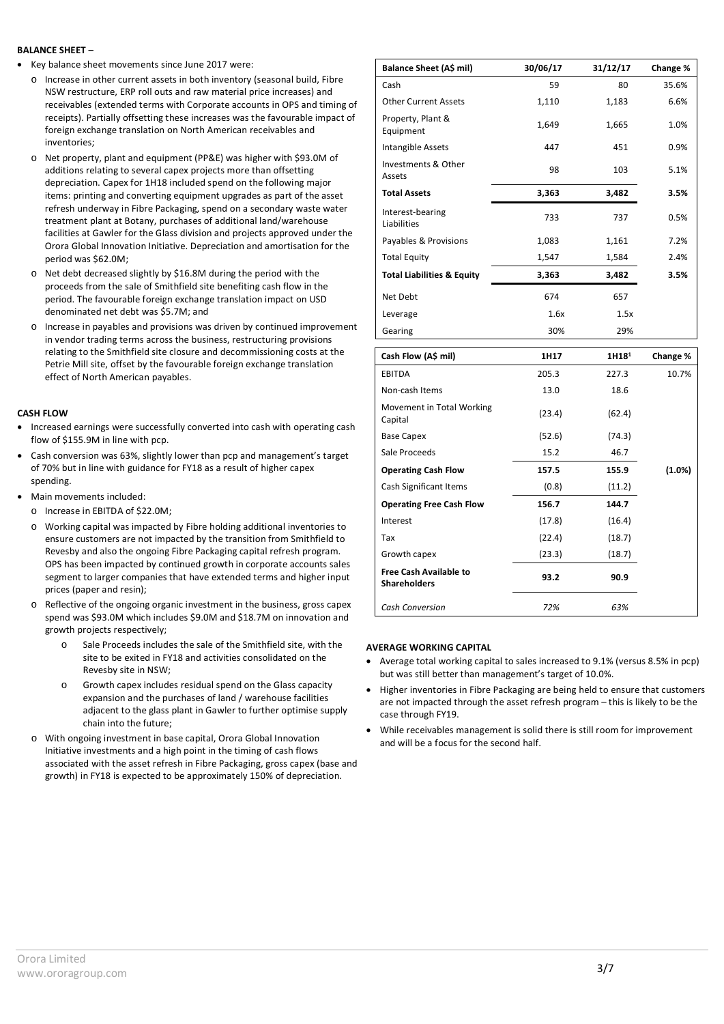#### **BALANCE SHEET –**

- Key balance sheet movements since June 2017 were:
	- o Increase in other current assets in both inventory (seasonal build, Fibre NSW restructure, ERP roll outs and raw material price increases) and receivables (extended terms with Corporate accounts in OPS and timing of receipts). Partially offsetting these increases was the favourable impact of foreign exchange translation on North American receivables and inventories;
	- o Net property, plant and equipment (PP&E) was higher with \$93.0M of additions relating to several capex projects more than offsetting depreciation. Capex for 1H18 included spend on the following major items: printing and converting equipment upgrades as part of the asset refresh underway in Fibre Packaging, spend on a secondary waste water treatment plant at Botany, purchases of additional land/warehouse facilities at Gawler for the Glass division and projects approved under the Orora Global Innovation Initiative. Depreciation and amortisation for the period was \$62.0M;
	- o Net debt decreased slightly by \$16.8M during the period with the proceeds from the sale of Smithfield site benefiting cash flow in the period. The favourable foreign exchange translation impact on USD denominated net debt was \$5.7M; and
	- o Increase in payables and provisions was driven by continued improvement in vendor trading terms across the business, restructuring provisions relating to the Smithfield site closure and decommissioning costs at the Petrie Mill site, offset by the favourable foreign exchange translation effect of North American payables.

#### **CASH FLOW**

- Increased earnings were successfully converted into cash with operating cash flow of \$155.9M in line with pcp.
- Cash conversion was 63%, slightly lower than pcp and management's target of 70% but in line with guidance for FY18 as a result of higher capex spending.
- Main movements included:
	- o Increase in EBITDA of \$22.0M;
	- o Working capital was impacted by Fibre holding additional inventories to ensure customers are not impacted by the transition from Smithfield to Revesby and also the ongoing Fibre Packaging capital refresh program. OPS has been impacted by continued growth in corporate accounts sales segment to larger companies that have extended terms and higher input prices (paper and resin);
	- o Reflective of the ongoing organic investment in the business, gross capex spend was \$93.0M which includes \$9.0M and \$18.7M on innovation and growth projects respectively;
		- o Sale Proceeds includes the sale of the Smithfield site, with the site to be exited in FY18 and activities consolidated on the Revesby site in NSW;
		- o Growth capex includes residual spend on the Glass capacity expansion and the purchases of land / warehouse facilities adjacent to the glass plant in Gawler to further optimise supply chain into the future;
	- o With ongoing investment in base capital, Orora Global Innovation Initiative investments and a high point in the timing of cash flows associated with the asset refresh in Fibre Packaging, gross capex (base and growth) in FY18 is expected to be approximately 150% of depreciation.

| Balance Sheet (A\$ mil)               | 30/06/17 | 31/12/17 | Change % |
|---------------------------------------|----------|----------|----------|
| Cash                                  | 59       | 80       | 35.6%    |
| <b>Other Current Assets</b>           | 1,110    | 1,183    | 6.6%     |
| Property, Plant &<br>Equipment        | 1,649    | 1,665    | 1.0%     |
| Intangible Assets                     | 447      | 451      | 0.9%     |
| Investments & Other<br>Assets         | 98       | 103      | 5.1%     |
| <b>Total Assets</b>                   | 3,363    | 3,482    | 3.5%     |
| Interest-bearing<br>Liabilities       | 733      | 737      | 0.5%     |
| Payables & Provisions                 | 1,083    | 1,161    | 7.2%     |
| <b>Total Equity</b>                   | 1,547    | 1,584    | 2.4%     |
| <b>Total Liabilities &amp; Equity</b> | 3,363    | 3,482    | 3.5%     |
| Net Debt                              | 674      | 657      |          |
| Leverage                              | 1.6x     | 1.5x     |          |
| Gearing                               | 30%      | 29%      |          |

| Cash Flow (A\$ mil)                                  | 1H17   | 1H18 <sup>1</sup> | Change % |
|------------------------------------------------------|--------|-------------------|----------|
| <b>EBITDA</b>                                        | 205.3  | 227.3             | 10.7%    |
| Non-cash Items                                       | 13.0   | 18.6              |          |
| Movement in Total Working<br>Capital                 | (23.4) | (62.4)            |          |
| <b>Base Capex</b>                                    | (52.6) | (74.3)            |          |
| Sale Proceeds                                        | 15.2   | 46.7              |          |
| <b>Operating Cash Flow</b>                           | 157.5  | 155.9             | (1.0%)   |
| Cash Significant Items                               | (0.8)  | (11.2)            |          |
| <b>Operating Free Cash Flow</b>                      | 156.7  | 144.7             |          |
| Interest                                             | (17.8) | (16.4)            |          |
| Tax                                                  | (22.4) | (18.7)            |          |
| Growth capex                                         | (23.3) | (18.7)            |          |
| <b>Free Cash Available to</b><br><b>Shareholders</b> | 93.2   | 90.9              |          |
| <b>Cash Conversion</b>                               | 72%    | 63%               |          |

#### **AVERAGE WORKING CAPITAL**

- Average total working capital to sales increased to 9.1% (versus 8.5% in pcp) but was still better than management's target of 10.0%.
- Higher inventories in Fibre Packaging are being held to ensure that customers are not impacted through the asset refresh program – this is likely to be the case through FY19.
- While receivables management is solid there is still room for improvement and will be a focus for the second half.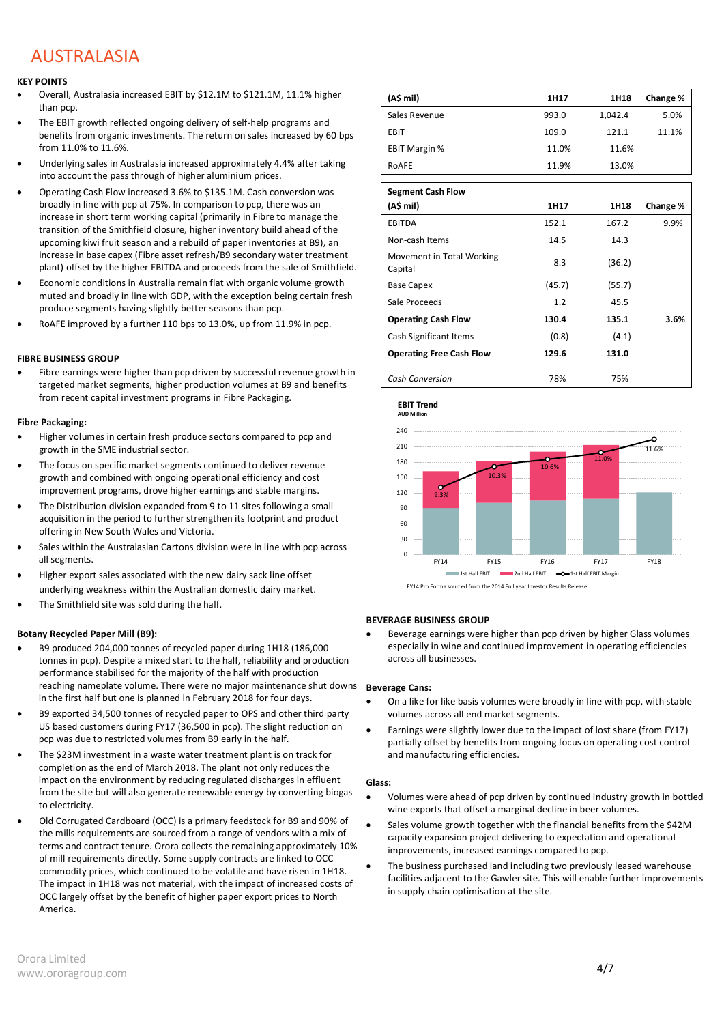### AUSTRALASIA

#### **KEY POINTS**

- Overall, Australasia increased EBIT by \$12.1M to \$121.1M, 11.1% higher than pcp.
- The EBIT growth reflected ongoing delivery of self-help programs and benefits from organic investments. The return on sales increased by 60 bps from 11.0% to 11.6%.
- Underlying sales in Australasia increased approximately 4.4% after taking into account the pass through of higher aluminium prices.
- Operating Cash Flow increased 3.6% to \$135.1M. Cash conversion was broadly in line with pcp at 75%. In comparison to pcp, there was an increase in short term working capital (primarily in Fibre to manage the transition of the Smithfield closure, higher inventory build ahead of the upcoming kiwi fruit season and a rebuild of paper inventories at B9), an increase in base capex (Fibre asset refresh/B9 secondary water treatment plant) offset by the higher EBITDA and proceeds from the sale of Smithfield.
- Economic conditions in Australia remain flat with organic volume growth muted and broadly in line with GDP, with the exception being certain fresh produce segments having slightly better seasons than pcp.
- RoAFE improved by a further 110 bps to 13.0%, up from 11.9% in pcp.

#### **FIBRE BUSINESS GROUP**

Fibre earnings were higher than pcp driven by successful revenue growth in targeted market segments, higher production volumes at B9 and benefits from recent capital investment programs in Fibre Packaging.

#### **Fibre Packaging:**

- Higher volumes in certain fresh produce sectors compared to pcp and growth in the SME industrial sector.
- The focus on specific market segments continued to deliver revenue growth and combined with ongoing operational efficiency and cost improvement programs, drove higher earnings and stable margins.
- The Distribution division expanded from 9 to 11 sites following a small acquisition in the period to further strengthen its footprint and product offering in New South Wales and Victoria.
- Sales within the Australasian Cartons division were in line with pcp across all segments.
- Higher export sales associated with the new dairy sack line offset underlying weakness within the Australian domestic dairy market.
- The Smithfield site was sold during the half.

#### **Botany Recycled Paper Mill (B9):**

- B9 produced 204,000 tonnes of recycled paper during 1H18 (186,000 tonnes in pcp). Despite a mixed start to the half, reliability and production performance stabilised for the majority of the half with production reaching nameplate volume. There were no major maintenance shut downs in the first half but one is planned in February 2018 for four days.
- B9 exported 34,500 tonnes of recycled paper to OPS and other third party US based customers during FY17 (36,500 in pcp). The slight reduction on pcp was due to restricted volumes from B9 early in the half.
- The \$23M investment in a waste water treatment plant is on track for completion as the end of March 2018. The plant not only reduces the impact on the environment by reducing regulated discharges in effluent from the site but will also generate renewable energy by converting biogas to electricity.
- Old Corrugated Cardboard (OCC) is a primary feedstock for B9 and 90% of the mills requirements are sourced from a range of vendors with a mix of terms and contract tenure. Orora collects the remaining approximately 10% of mill requirements directly. Some supply contracts are linked to OCC commodity prices, which continued to be volatile and have risen in 1H18. The impact in 1H18 was not material, with the impact of increased costs of OCC largely offset by the benefit of higher paper export prices to North America.

| (A\$ mil)            | 1H17  | 1H18    | Change % |
|----------------------|-------|---------|----------|
| Sales Revenue        | 993.0 | 1,042.4 | 5.0%     |
| <b>EBIT</b>          | 109.0 | 121.1   | 11.1%    |
| <b>EBIT Margin %</b> | 11.0% | 11.6%   |          |
| ROAFE                | 11.9% | 13.0%   |          |

| <b>Segment Cash Flow</b>             |        |        |          |
|--------------------------------------|--------|--------|----------|
| (A\$ mil)                            | 1H17   | 1H18   | Change % |
| <b>EBITDA</b>                        | 152.1  | 167.2  | 9.9%     |
| Non-cash Items                       | 14.5   | 14.3   |          |
| Movement in Total Working<br>Capital | 8.3    | (36.2) |          |
| <b>Base Capex</b>                    | (45.7) | (55.7) |          |
| Sale Proceeds                        | 1.2    | 45.5   |          |
| <b>Operating Cash Flow</b>           | 130.4  | 135.1  | 3.6%     |
| Cash Significant Items               | (0.8)  | (4.1)  |          |
| <b>Operating Free Cash Flow</b>      | 129.6  | 131.0  |          |
| Cash Conversion                      | 78%    | 75%    |          |



#### **BEVERAGE BUSINESS GROUP**

• Beverage earnings were higher than pcp driven by higher Glass volumes especially in wine and continued improvement in operating efficiencies across all businesses.

#### **Beverage Cans:**

- On a like for like basis volumes were broadly in line with pcp, with stable volumes across all end market segments.
- Earnings were slightly lower due to the impact of lost share (from FY17) partially offset by benefits from ongoing focus on operating cost control and manufacturing efficiencies.

#### **Glass:**

- Volumes were ahead of pcp driven by continued industry growth in bottled wine exports that offset a marginal decline in beer volumes.
- Sales volume growth together with the financial benefits from the \$42M capacity expansion project delivering to expectation and operational improvements, increased earnings compared to pcp.
- The business purchased land including two previously leased warehouse facilities adjacent to the Gawler site. This will enable further improvements in supply chain optimisation at the site.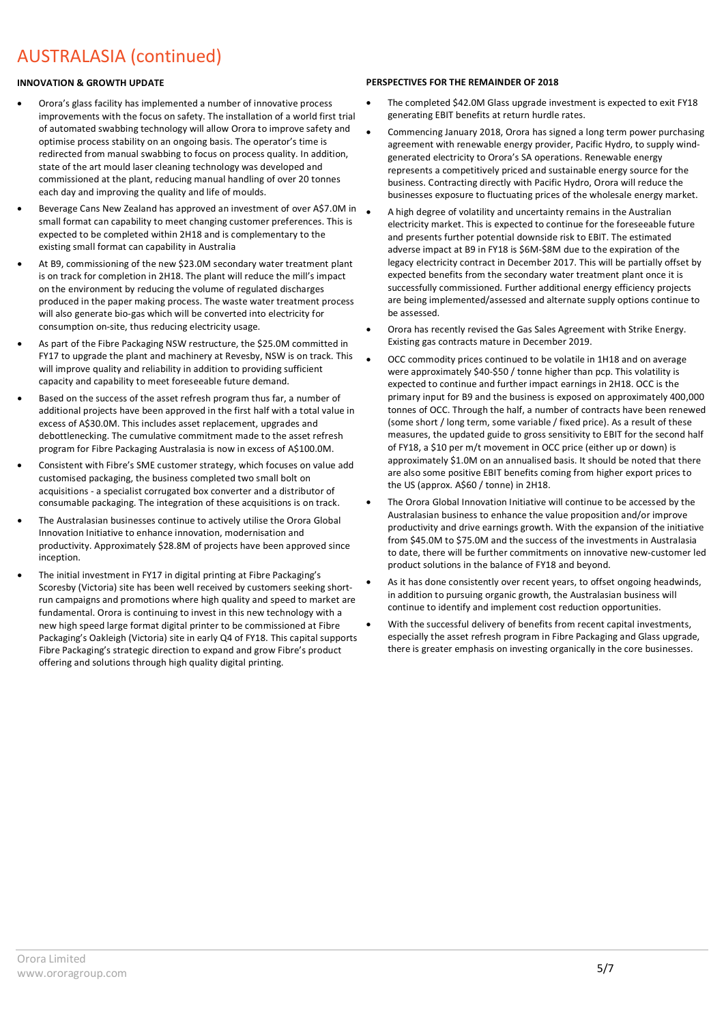## AUSTRALASIA (continued)

### **INNOVATION & GROWTH UPDATE**

- Orora's glass facility has implemented a number of innovative process improvements with the focus on safety. The installation of a world first trial of automated swabbing technology will allow Orora to improve safety and optimise process stability on an ongoing basis. The operator's time is redirected from manual swabbing to focus on process quality. In addition, state of the art mould laser cleaning technology was developed and commissioned at the plant, reducing manual handling of over 20 tonnes each day and improving the quality and life of moulds.
- Beverage Cans New Zealand has approved an investment of over A\$7.0M in small format can capability to meet changing customer preferences. This is expected to be completed within 2H18 and is complementary to the existing small format can capability in Australia
- At B9, commissioning of the new \$23.0M secondary water treatment plant is on track for completion in 2H18. The plant will reduce the mill's impact on the environment by reducing the volume of regulated discharges produced in the paper making process. The waste water treatment process will also generate bio-gas which will be converted into electricity for consumption on-site, thus reducing electricity usage.
- As part of the Fibre Packaging NSW restructure, the \$25.0M committed in FY17 to upgrade the plant and machinery at Revesby, NSW is on track. This will improve quality and reliability in addition to providing sufficient capacity and capability to meet foreseeable future demand.
- Based on the success of the asset refresh program thus far, a number of additional projects have been approved in the first half with a total value in excess of A\$30.0M. This includes asset replacement, upgrades and debottlenecking. The cumulative commitment made to the asset refresh program for Fibre Packaging Australasia is now in excess of A\$100.0M.
- Consistent with Fibre's SME customer strategy, which focuses on value add customised packaging, the business completed two small bolt on acquisitions - a specialist corrugated box converter and a distributor of consumable packaging. The integration of these acquisitions is on track.
- The Australasian businesses continue to actively utilise the Orora Global Innovation Initiative to enhance innovation, modernisation and productivity. Approximately \$28.8M of projects have been approved since incention
- The initial investment in FY17 in digital printing at Fibre Packaging's Scoresby (Victoria) site has been well received by customers seeking shortrun campaigns and promotions where high quality and speed to market are fundamental. Orora is continuing to invest in this new technology with a new high speed large format digital printer to be commissioned at Fibre Packaging's Oakleigh (Victoria) site in early Q4 of FY18. This capital supports Fibre Packaging's strategic direction to expand and grow Fibre's product offering and solutions through high quality digital printing.

### **PERSPECTIVES FOR THE REMAINDER OF 2018**

- The completed \$42.0M Glass upgrade investment is expected to exit FY18 generating EBIT benefits at return hurdle rates.
- Commencing January 2018, Orora has signed a long term power purchasing agreement with renewable energy provider, Pacific Hydro, to supply windgenerated electricity to Orora's SA operations. Renewable energy represents a competitively priced and sustainable energy source for the business. Contracting directly with Pacific Hydro, Orora will reduce the businesses exposure to fluctuating prices of the wholesale energy market.
- A high degree of volatility and uncertainty remains in the Australian electricity market. This is expected to continue for the foreseeable future and presents further potential downside risk to EBIT. The estimated adverse impact at B9 in FY18 is \$6M-\$8M due to the expiration of the legacy electricity contract in December 2017. This will be partially offset by expected benefits from the secondary water treatment plant once it is successfully commissioned. Further additional energy efficiency projects are being implemented/assessed and alternate supply options continue to be assessed.
- Orora has recently revised the Gas Sales Agreement with Strike Energy. Existing gas contracts mature in December 2019.
- OCC commodity prices continued to be volatile in 1H18 and on average were approximately \$40-\$50 / tonne higher than pcp. This volatility is expected to continue and further impact earnings in 2H18. OCC is the primary input for B9 and the business is exposed on approximately 400,000 tonnes of OCC. Through the half, a number of contracts have been renewed (some short / long term, some variable / fixed price). As a result of these measures, the updated guide to gross sensitivity to EBIT for the second half of FY18, a \$10 per m/t movement in OCC price (either up or down) is approximately \$1.0M on an annualised basis. It should be noted that there are also some positive EBIT benefits coming from higher export prices to the US (approx. A\$60 / tonne) in 2H18.
- The Orora Global Innovation Initiative will continue to be accessed by the Australasian business to enhance the value proposition and/or improve productivity and drive earnings growth. With the expansion of the initiative from \$45.0M to \$75.0M and the success of the investments in Australasia to date, there will be further commitments on innovative new-customer led product solutions in the balance of FY18 and beyond.
- As it has done consistently over recent years, to offset ongoing headwinds, in addition to pursuing organic growth, the Australasian business will continue to identify and implement cost reduction opportunities.
- With the successful delivery of benefits from recent capital investments, especially the asset refresh program in Fibre Packaging and Glass upgrade, there is greater emphasis on investing organically in the core businesses.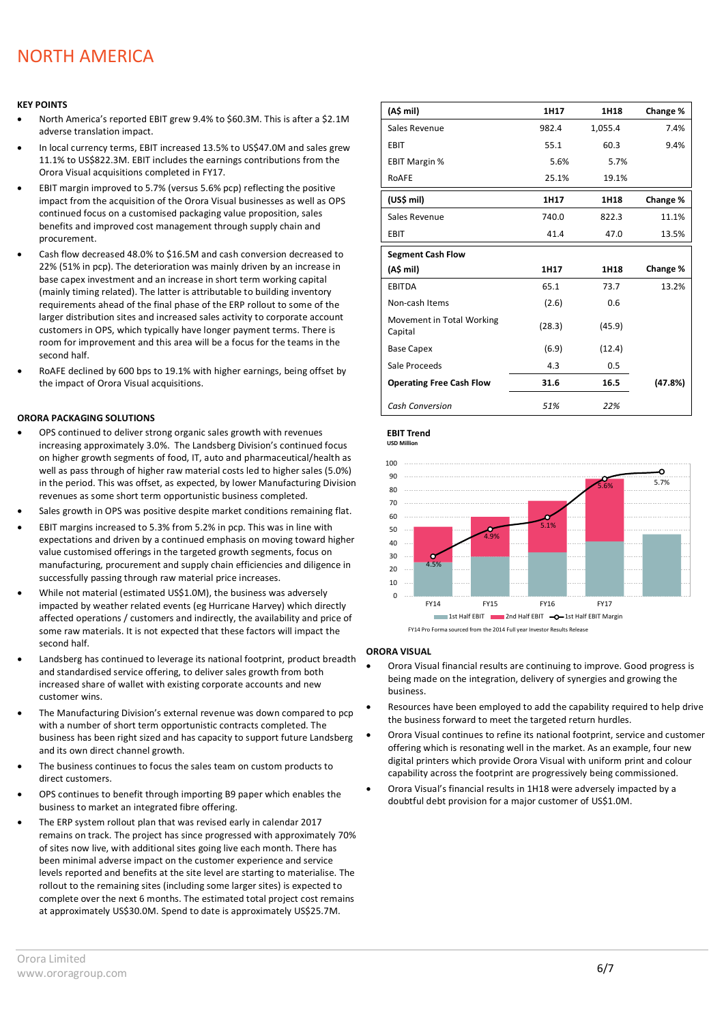### NORTH AMERICA

#### **KEY POINTS**

- North America's reported EBIT grew 9.4% to \$60.3M. This is after a \$2.1M adverse translation impact.
- In local currency terms, EBIT increased 13.5% to US\$47.0M and sales grew 11.1% to US\$822.3M. EBIT includes the earnings contributions from the Orora Visual acquisitions completed in FY17.
- EBIT margin improved to 5.7% (versus 5.6% pcp) reflecting the positive impact from the acquisition of the Orora Visual businesses as well as OPS continued focus on a customised packaging value proposition, sales benefits and improved cost management through supply chain and procurement.
- Cash flow decreased 48.0% to \$16.5M and cash conversion decreased to 22% (51% in pcp). The deterioration was mainly driven by an increase in base capex investment and an increase in short term working capital (mainly timing related). The latter is attributable to building inventory requirements ahead of the final phase of the ERP rollout to some of the larger distribution sites and increased sales activity to corporate account customers in OPS, which typically have longer payment terms. There is room for improvement and this area will be a focus for the teams in the second half.
- RoAFE declined by 600 bps to 19.1% with higher earnings, being offset by the impact of Orora Visual acquisitions.

#### **ORORA PACKAGING SOLUTIONS**

- OPS continued to deliver strong organic sales growth with revenues increasing approximately 3.0%. The Landsberg Division's continued focus on higher growth segments of food, IT, auto and pharmaceutical/health as well as pass through of higher raw material costs led to higher sales (5.0%) in the period. This was offset, as expected, by lower Manufacturing Division revenues as some short term opportunistic business completed.
- Sales growth in OPS was positive despite market conditions remaining flat.
- EBIT margins increased to 5.3% from 5.2% in pcp. This was in line with expectations and driven by a continued emphasis on moving toward higher value customised offerings in the targeted growth segments, focus on manufacturing, procurement and supply chain efficiencies and diligence in successfully passing through raw material price increases.
- While not material (estimated US\$1.0M), the business was adversely impacted by weather related events (eg Hurricane Harvey) which directly affected operations / customers and indirectly, the availability and price of some raw materials. It is not expected that these factors will impact the second half.
- Landsberg has continued to leverage its national footprint, product breadth and standardised service offering, to deliver sales growth from both increased share of wallet with existing corporate accounts and new customer wins.
- The Manufacturing Division's external revenue was down compared to pcp with a number of short term opportunistic contracts completed. The business has been right sized and has capacity to support future Landsberg and its own direct channel growth.
- The business continues to focus the sales team on custom products to direct customers.
- OPS continues to benefit through importing B9 paper which enables the business to market an integrated fibre offering.
- The ERP system rollout plan that was revised early in calendar 2017 remains on track. The project has since progressed with approximately 70% of sites now live, with additional sites going live each month. There has been minimal adverse impact on the customer experience and service levels reported and benefits at the site level are starting to materialise. The rollout to the remaining sites (including some larger sites) is expected to complete over the next 6 months. The estimated total project cost remains at approximately US\$30.0M. Spend to date is approximately US\$25.7M.

| (A\$ mil)                            | 1H17   | 1H18    | Change % |
|--------------------------------------|--------|---------|----------|
| Sales Revenue                        | 982.4  | 1,055.4 | 7.4%     |
| <b>EBIT</b>                          | 55.1   | 60.3    | 9.4%     |
| <b>EBIT Margin %</b>                 | 5.6%   | 5.7%    |          |
| RoAFE                                | 25.1%  | 19.1%   |          |
| (US\$ mil)                           | 1H17   | 1H18    | Change % |
| Sales Revenue                        | 740.0  | 822.3   | 11.1%    |
| <b>EBIT</b>                          | 41.4   | 47.0    | 13.5%    |
| <b>Segment Cash Flow</b>             |        |         |          |
| (A\$ mil)                            | 1H17   | 1H18    | Change % |
| <b>EBITDA</b>                        | 65.1   | 73.7    | 13.2%    |
| Non-cash Items                       | (2.6)  | 0.6     |          |
| Movement in Total Working<br>Capital | (28.3) | (45.9)  |          |
| <b>Base Capex</b>                    | (6.9)  | (12.4)  |          |
| Sale Proceeds                        | 4.3    | 0.5     |          |
| <b>Operating Free Cash Flow</b>      | 31.6   | 16.5    | (47.8%)  |
| Cash Conversion                      | 51%    | 22%     |          |

**EBIT Trend USD Million** 





#### **ORORA VISUAL**

- Orora Visual financial results are continuing to improve. Good progress is being made on the integration, delivery of synergies and growing the business.
- Resources have been employed to add the capability required to help drive the business forward to meet the targeted return hurdles.
- Orora Visual continues to refine its national footprint, service and customer offering which is resonating well in the market. As an example, four new digital printers which provide Orora Visual with uniform print and colour capability across the footprint are progressively being commissioned.
- Orora Visual's financial results in 1H18 were adversely impacted by a doubtful debt provision for a major customer of US\$1.0M.